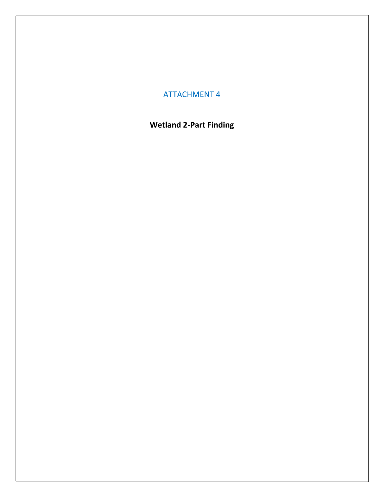# ATTACHMENT 4

# **Wetland 2-Part Finding**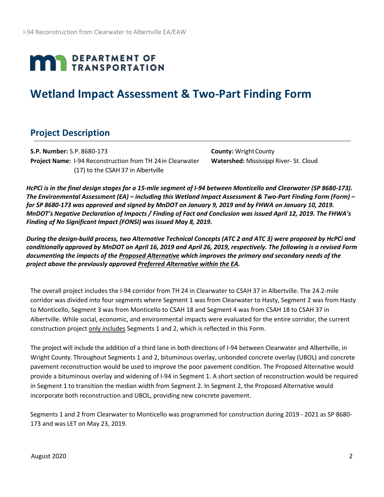# **MAN** DEPARTMENT OF

# **Wetland Impact Assessment & Two-Part Finding Form**

# **Project Description**

**S.P. Number:** S.P. 8680-173 **County:** WrightCounty **Project Name:** I-94 Reconstruction from TH 24in Clearwater **Watershed:** Mississippi River- St. Cloud (17) to the CSAH 37 in Albertville

*HcPCi is in the final design stages for a 15-mile segment of I-94 between Monticello and Clearwater (SP 8680-173). The Environmental Assessment (EA) – including this Wetland Impact Assessment & Two-Part Finding Form (Form) – for SP 8680-173 was approved and signed by MnDOT on January 9, 2019 and by FHWA on January 10, 2019. MnDOT's Negative Declaration of Impacts / Finding of Fact and Conclusion was issued April 12, 2019. The FHWA's Finding of No Significant Impact (FONSI) was issued May 8, 2019.*

*During the design-build process, two Alternative Technical Concepts (ATC 2 and ATC 3) were proposed by HcPCi and conditionally approved by MnDOT on April 16, 2019 and April 26, 2019, respectively. The following is a revised Form documenting the impacts of the Proposed Alternative which improves the primary and secondary needs of the project above the previously approved Preferred Alternative within the EA.*

The overall project includes the I-94 corridor from TH 24 in Clearwater to CSAH 37 in Albertville. The 24.2-mile corridor was divided into four segments where Segment 1 was from Clearwater to Hasty, Segment 2 was from Hasty to Monticello, Segment 3 was from Monticello to CSAH 18 and Segment 4 was from CSAH 18 to CSAH 37 in Albertville. While social, economic, and environmental impacts were evaluated for the entire corridor, the current construction project only includes Segments 1 and 2, which is reflected in this Form.

The project will include the addition of a third lane in both directions of I-94 between Clearwater and Albertville, in Wright County. Throughout Segments 1 and 2, bituminous overlay, unbonded concrete overlay (UBOL) and concrete pavement reconstruction would be used to improve the poor pavement condition. The Proposed Alternative would provide a bituminous overlay and widening of I-94 in Segment 1. A short section of reconstruction would be required in Segment 1 to transition the median width from Segment 2. In Segment 2, the Proposed Alternative would incorporate both reconstruction and UBOL, providing new concrete pavement.

Segments 1 and 2 from Clearwater to Monticello was programmed for construction during 2019 - 2021 as SP 8680- 173 and was LET on May 23, 2019.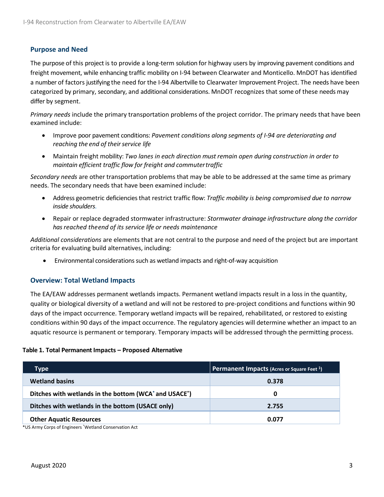# **Purpose and Need**

The purpose of this project is to provide a long-term solution for highway users by improving pavement conditions and freight movement, while enhancing traffic mobility on I-94 between Clearwater and Monticello. MnDOT has identified a number of factors justifying the need for the I-94 Albertville to Clearwater Improvement Project. The needs have been categorized by primary, secondary, and additional considerations. MnDOT recognizes that some of these needs may differ by segment.

*Primary needs* include the primary transportation problems of the project corridor. The primary needs that have been examined include:

- Improve poor pavement conditions: *Pavement conditions along segments of I-94 are deteriorating and reaching the end of theirservice life*
- Maintain freight mobility: *Two lanes in each direction must remain open during construction in order to maintain efficient traffic flow for freight and commutertraffic*

*Secondary needs* are other transportation problems that may be able to be addressed at the same time as primary needs. The secondary needs that have been examined include:

- Address geometric deficiencies that restrict traffic flow: *Traffic mobility is being compromised due to narrow inside shoulders.*
- Repair or replace degraded stormwater infrastructure: *Stormwater drainage infrastructure along the corridor has reached theend of its service life or needs maintenance*

*Additional considerations* are elements that are not central to the purpose and need of the project but are important criteria for evaluating build alternatives, including:

• Environmental considerations such as wetland impacts and right-of-way acquisition

# **Overview: Total Wetland Impacts**

The EA/EAW addresses permanent wetlands impacts. Permanent wetland impacts result in a loss in the quantity, quality or biological diversity of a wetland and will not be restored to pre-project conditions and functions within 90 days of the impact occurrence. Temporary wetland impacts will be repaired, rehabilitated, or restored to existing conditions within 90 days of the impact occurrence. The regulatory agencies will determine whether an impact to an aquatic resource is permanent or temporary. Temporary impacts will be addressed through the permitting process.

#### **Table 1. Total Permanent Impacts – Proposed Alternative**

| Type                                                                           | <b>Permanent Impacts (Acres or Square Feet 1)</b> |
|--------------------------------------------------------------------------------|---------------------------------------------------|
| <b>Wetland basins</b>                                                          | 0.378                                             |
| Ditches with wetlands in the bottom (WCA <sup>*</sup> and USACE <sup>*</sup> ) | 0                                                 |
| Ditches with wetlands in the bottom (USACE only)                               | 2.755                                             |
| <b>Other Aquatic Resources</b>                                                 | 0.077                                             |

\*US Army Corps of Engineers \* Wetland Conservation Act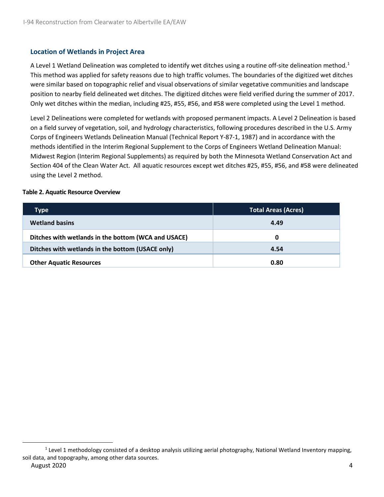# **Location of Wetlands in Project Area**

A Level [1](#page-3-0) Wetland Delineation was completed to identify wet ditches using a routine off-site delineation method.<sup>1</sup> This method was applied for safety reasons due to high traffic volumes. The boundaries of the digitized wet ditches were similar based on topographic relief and visual observations of similar vegetative communities and landscape position to nearby field delineated wet ditches. The digitized ditches were field verified during the summer of 2017. Only wet ditches within the median, including #25, #55, #56, and #58 were completed using the Level 1 method.

Level 2 Delineations were completed for wetlands with proposed permanent impacts. A Level 2 Delineation is based on a field survey of vegetation, soil, and hydrology characteristics, following procedures described in the U.S. Army Corps of Engineers Wetlands Delineation Manual (Technical Report Y-87-1, 1987) and in accordance with the methods identified in the Interim Regional Supplement to the Corps of Engineers Wetland Delineation Manual: Midwest Region (Interim Regional Supplements) as required by both the Minnesota Wetland Conservation Act and Section 404 of the Clean Water Act. All aquatic resources except wet ditches #25, #55, #56, and #58 were delineated using the Level 2 method.

#### **Table 2. Aquatic Resource Overview**

| Type                                                | <b>Total Areas (Acres)</b> |
|-----------------------------------------------------|----------------------------|
| <b>Wetland basins</b>                               | 4.49                       |
| Ditches with wetlands in the bottom (WCA and USACE) | 0                          |
| Ditches with wetlands in the bottom (USACE only)    | 4.54                       |
| <b>Other Aquatic Resources</b>                      | 0.80                       |

<span id="page-3-0"></span>August 2020 4  $1$  Level 1 methodology consisted of a desktop analysis utilizing aerial photography, National Wetland Inventory mapping, soil data, and topography, among other data sources.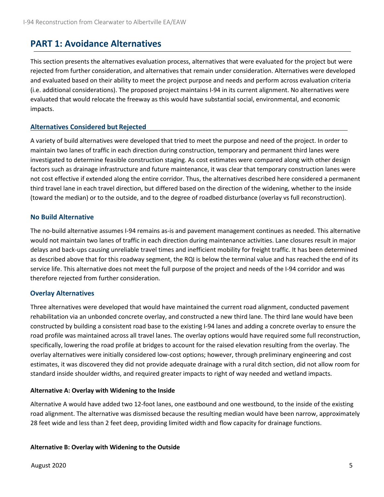# **PART 1: Avoidance Alternatives**

This section presents the alternatives evaluation process, alternatives that were evaluated for the project but were rejected from further consideration, and alternatives that remain under consideration. Alternatives were developed and evaluated based on their ability to meet the project purpose and needs and perform across evaluation criteria (i.e. additional considerations). The proposed project maintains I-94 in its current alignment. No alternatives were evaluated that would relocate the freeway as this would have substantial social, environmental, and economic impacts.

# **Alternatives Considered but Rejected**

A variety of build alternatives were developed that tried to meet the purpose and need of the project. In order to maintain two lanes of traffic in each direction during construction, temporary and permanent third lanes were investigated to determine feasible construction staging. As cost estimates were compared along with other design factors such as drainage infrastructure and future maintenance, it was clear that temporary construction lanes were not cost effective if extended along the entire corridor. Thus, the alternatives described here considered a permanent third travel lane in each travel direction, but differed based on the direction of the widening, whether to the inside (toward the median) or to the outside, and to the degree of roadbed disturbance (overlay vs full reconstruction).

# **No Build Alternative**

The no-build alternative assumes I-94 remains as-is and pavement management continues as needed. This alternative would not maintain two lanes of traffic in each direction during maintenance activities. Lane closures result in major delays and back-ups causing unreliable travel times and inefficient mobility for freight traffic. It has been determined as described above that for this roadway segment, the RQI is below the terminal value and has reached the end of its service life. This alternative does not meet the full purpose of the project and needs of the I-94 corridor and was therefore rejected from further consideration.

# **Overlay Alternatives**

Three alternatives were developed that would have maintained the current road alignment, conducted pavement rehabilitation via an unbonded concrete overlay, and constructed a new third lane. The third lane would have been constructed by building a consistent road base to the existing I-94 lanes and adding a concrete overlay to ensure the road profile was maintained across all travel lanes. The overlay options would have required some full reconstruction, specifically, lowering the road profile at bridges to account for the raised elevation resulting from the overlay. The overlay alternatives were initially considered low-cost options; however, through preliminary engineering and cost estimates, it was discovered they did not provide adequate drainage with a rural ditch section, did not allow room for standard inside shoulder widths, and required greater impacts to right of way needed and wetland impacts.

#### **Alternative A: Overlay with Widening to the Inside**

Alternative A would have added two 12-foot lanes, one eastbound and one westbound, to the inside of the existing road alignment. The alternative was dismissed because the resulting median would have been narrow, approximately 28 feet wide and less than 2 feet deep, providing limited width and flow capacity for drainage functions.

#### **Alternative B: Overlay with Widening to the Outside**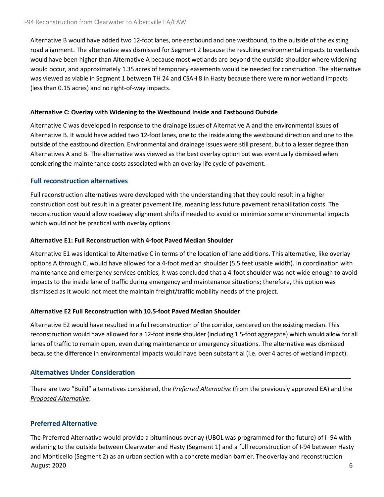Alternative B would have added two 12-foot lanes, one eastbound and one westbound, to the outside of the existing road alignment. The alternative was dismissed for Segment 2 because the resulting environmental impacts to wetlands would have been higher than Alternative A because most wetlands are beyond the outside shoulder where widening would occur, and approximately 1.35 acres of temporary easements would be needed for construction. The alternative was viewed as viable in Segment 1 between TH 24 and CSAH 8 in Hasty because there were minor wetland impacts (less than 0.15 acres) and no right-of-way impacts.

### **Alternative C: Overlay with Widening to the Westbound Inside and Eastbound Outside**

Alternative C was developed in response to the drainage issues of Alternative A and the environmental issues of Alternative B. It would have added two 12-foot lanes, one to the inside along the westbound direction and one to the outside of the eastbound direction. Environmental and drainage issues were still present, but to a lesser degree than Alternatives A and B. The alternative was viewed as the best overlay option but was eventually dismissed when considering the maintenance costs associated with an overlay life cycle of pavement.

# **Full reconstruction alternatives**

Full reconstruction alternatives were developed with the understanding that they could result in a higher construction cost but result in a greater pavement life, meaning less future pavement rehabilitation costs. The reconstruction would allow roadway alignment shifts if needed to avoid or minimize some environmental impacts which would not be practical with overlay options.

#### **Alternative E1: Full Reconstruction with 4-foot Paved Median Shoulder**

Alternative E1 was identical to Alternative C in terms of the location of lane additions. This alternative, like overlay options A through C, would have allowed for a 4-foot median shoulder (5.5 feet usable width). In coordination with maintenance and emergency services entities, it was concluded that a 4-foot shoulder was not wide enough to avoid impacts to the inside lane of traffic during emergency and maintenance situations; therefore, this option was dismissed as it would not meet the maintain freight/traffic mobility needs of the project.

# **Alternative E2 Full Reconstruction with 10.5-foot Paved Median Shoulder**

Alternative E2 would have resulted in a full reconstruction of the corridor, centered on the existing median. This reconstruction would have allowed for a 12-foot inside shoulder (including 1.5-foot aggregate) which would allow for all lanes of traffic to remain open, even during maintenance or emergency situations. The alternative was dismissed because the difference in environmental impacts would have been substantial (i.e. over 4 acres of wetland impact).

# **Alternatives Under Consideration**

There are two "Build" alternatives considered, the *Preferred Alternative* (from the previously approved EA) and the *Proposed Alternative*.

# **Preferred Alternative**

August 2020 6 The Preferred Alternative would provide a bituminous overlay (UBOL was programmed for the future) of I- 94 with widening to the outside between Clearwater and Hasty (Segment 1) and a full reconstruction of I-94 between Hasty and Monticello (Segment 2) as an urban section with a concrete median barrier. Theoverlay and reconstruction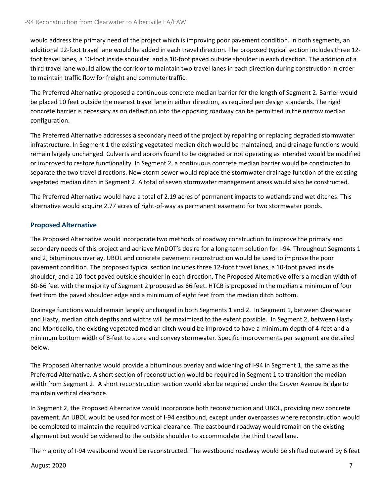would address the primary need of the project which is improving poor pavement condition. In both segments, an additional 12-foot travel lane would be added in each travel direction. The proposed typical section includes three 12 foot travel lanes, a 10-foot inside shoulder, and a 10-foot paved outside shoulder in each direction. The addition of a third travel lane would allow the corridor to maintain two travel lanes in each direction during construction in order to maintain traffic flow for freight and commutertraffic.

The Preferred Alternative proposed a continuous concrete median barrier for the length of Segment 2. Barrier would be placed 10 feet outside the nearest travel lane in either direction, as required per design standards. The rigid concrete barrier is necessary as no deflection into the opposing roadway can be permitted in the narrow median configuration.

The Preferred Alternative addresses a secondary need of the project by repairing or replacing degraded stormwater infrastructure. In Segment 1 the existing vegetated median ditch would be maintained, and drainage functions would remain largely unchanged. Culverts and aprons found to be degraded or not operating as intended would be modified or improved to restore functionality. In Segment 2, a continuous concrete median barrier would be constructed to separate the two travel directions. New storm sewer would replace the stormwater drainage function of the existing vegetated median ditch in Segment 2. A total of seven stormwater management areas would also be constructed.

The Preferred Alternative would have a total of 2.19 acres of permanent impacts to wetlands and wet ditches. This alternative would acquire 2.77 acres of right-of-way as permanent easement for two stormwater ponds.

# **Proposed Alternative**

The Proposed Alternative would incorporate two methods of roadway construction to improve the primary and secondary needs of this project and achieve MnDOT's desire for a long-term solution for I-94. Throughout Segments 1 and 2, bituminous overlay, UBOL and concrete pavement reconstruction would be used to improve the poor pavement condition. The proposed typical section includes three 12-foot travel lanes, a 10-foot paved inside shoulder, and a 10-foot paved outside shoulder in each direction. The Proposed Alternative offers a median width of 60-66 feet with the majority of Segment 2 proposed as 66 feet. HTCB is proposed in the median a minimum of four feet from the paved shoulder edge and a minimum of eight feet from the median ditch bottom.

Drainage functions would remain largely unchanged in both Segments 1 and 2. In Segment 1, between Clearwater and Hasty, median ditch depths and widths will be maximized to the extent possible. In Segment 2, between Hasty and Monticello, the existing vegetated median ditch would be improved to have a minimum depth of 4-feet and a minimum bottom width of 8-feet to store and convey stormwater. Specific improvements per segment are detailed below.

The Proposed Alternative would provide a bituminous overlay and widening of I-94 in Segment 1, the same as the Preferred Alternative. A short section of reconstruction would be required in Segment 1 to transition the median width from Segment 2. A short reconstruction section would also be required under the Grover Avenue Bridge to maintain vertical clearance.

In Segment 2, the Proposed Alternative would incorporate both reconstruction and UBOL, providing new concrete pavement. An UBOL would be used for most of I-94 eastbound, except under overpasses where reconstruction would be completed to maintain the required vertical clearance. The eastbound roadway would remain on the existing alignment but would be widened to the outside shoulder to accommodate the third travel lane.

The majority of I-94 westbound would be reconstructed. The westbound roadway would be shifted outward by 6 feet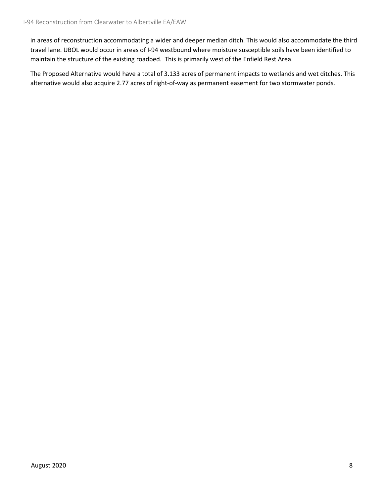in areas of reconstruction accommodating a wider and deeper median ditch. This would also accommodate the third travel lane. UBOL would occur in areas of I-94 westbound where moisture susceptible soils have been identified to maintain the structure of the existing roadbed. This is primarily west of the Enfield Rest Area.

The Proposed Alternative would have a total of 3.133 acres of permanent impacts to wetlands and wet ditches. This alternative would also acquire 2.77 acres of right-of-way as permanent easement for two stormwater ponds.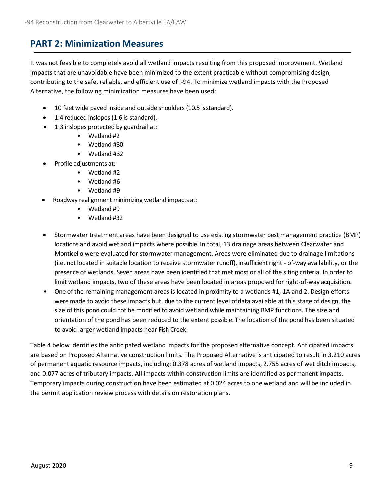# **PART 2: Minimization Measures**

It was not feasible to completely avoid all wetland impacts resulting from this proposed improvement. Wetland impacts that are unavoidable have been minimized to the extent practicable without compromising design, contributing to the safe, reliable, and efficient use of I-94. To minimize wetland impacts with the Proposed Alternative, the following minimization measures have been used:

- 10 feet wide paved inside and outside shoulders (10.5 isstandard).
- 1:4 reduced inslopes (1:6 is standard).
- 1:3 inslopes protected by guardrail at:
	- Wetland #2
	- Wetland #30
	- Wetland #32
- Profile adjustments at:
	- Wetland #2
	- Wetland #6
	- Wetland #9
- Roadway realignment minimizing wetland impactsat:
	- Wetland #9
	- Wetland #32
- Stormwater treatment areas have been designed to use existing stormwater best management practice (BMP) locations and avoid wetland impacts where possible. In total, 13 drainage areas between Clearwater and Monticello were evaluated for stormwater management. Areas were eliminated due to drainage limitations (i.e. not located in suitable location to receive stormwater runoff), insufficient right - of-way availability, or the presence of wetlands. Seven areas have been identified that met most or all of the siting criteria. In order to limit wetland impacts, two of these areas have been located in areas proposed for right-of-way acquisition.
- One of the remaining management areas is located in proximity to a wetlands #1, 1A and 2. Design efforts were made to avoid these impacts but, due to the current level ofdata available at this stage of design, the size of this pond could not be modified to avoid wetland while maintaining BMP functions. The size and orientation of the pond has been reduced to the extent possible. The location of the pond has been situated to avoid larger wetland impacts near Fish Creek.

Table 4 below identifies the anticipated wetland impacts for the proposed alternative concept. Anticipated impacts are based on Proposed Alternative construction limits. The Proposed Alternative is anticipated to result in 3.210 acres of permanent aquatic resource impacts, including: 0.378 acres of wetland impacts, 2.755 acres of wet ditch impacts, and 0.077 acres of tributary impacts. All impacts within construction limits are identified as permanent impacts. Temporary impacts during construction have been estimated at 0.024 acres to one wetland and will be included in the permit application review process with details on restoration plans.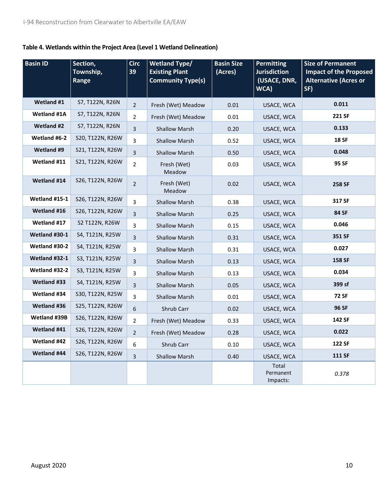# **Table 4. Wetlands within the Project Area (Level 1 Wetland Delineation)**

| <b>Basin ID</b>    | Section,<br>Township,<br>Range | <b>Circ</b><br>39 | <b>Wetland Type/</b><br><b>Basin Size</b><br><b>Permitting</b><br><b>Existing Plant</b><br>(Acres)<br><b>Jurisdiction</b><br><b>Community Type(s)</b><br>(USACE, DNR,<br>WCA) |      | <b>Size of Permanent</b><br><b>Impact of the Proposed</b><br><b>Alternative (Acres or</b><br>SF) |               |
|--------------------|--------------------------------|-------------------|-------------------------------------------------------------------------------------------------------------------------------------------------------------------------------|------|--------------------------------------------------------------------------------------------------|---------------|
| <b>Wetland #1</b>  | S7, T122N, R26N                | $\overline{2}$    | 0.01<br>Fresh (Wet) Meadow                                                                                                                                                    |      | USACE, WCA                                                                                       | 0.011         |
| <b>Wetland #1A</b> | S7, T122N, R26N                | $\overline{2}$    | Fresh (Wet) Meadow                                                                                                                                                            | 0.01 | USACE, WCA                                                                                       | 221 SF        |
| Wetland #2         | S7, T122N, R26N                | $\overline{3}$    | <b>Shallow Marsh</b>                                                                                                                                                          | 0.20 | USACE, WCA                                                                                       | 0.133         |
| Wetland #6-2       | S20, T122N, R26W               | 3                 | <b>Shallow Marsh</b>                                                                                                                                                          | 0.52 | USACE, WCA                                                                                       | <b>18 SF</b>  |
| Wetland #9         | S21, T122N, R26W               | $\overline{3}$    | <b>Shallow Marsh</b>                                                                                                                                                          | 0.50 | USACE, WCA                                                                                       | 0.048         |
| Wetland #11        | S21, T122N, R26W               | $\overline{2}$    | Fresh (Wet)<br>Meadow                                                                                                                                                         | 0.03 | USACE, WCA                                                                                       | 95 SF         |
| Wetland #14        | S26, T122N, R26W               | $\overline{2}$    | Fresh (Wet)<br>Meadow                                                                                                                                                         | 0.02 |                                                                                                  | 258 SF        |
| Wetland #15-1      | S26, T122N, R26W               | 3                 | <b>Shallow Marsh</b><br>0.38                                                                                                                                                  |      | USACE, WCA                                                                                       | 317 SF        |
| Wetland #16        | S26, T122N, R26W               | $\overline{3}$    | <b>Shallow Marsh</b>                                                                                                                                                          | 0.25 | USACE, WCA                                                                                       | 84 SF         |
| Wetland #17        | S2 T122N, R26W                 | 3                 | <b>Shallow Marsh</b>                                                                                                                                                          | 0.15 | USACE, WCA                                                                                       | 0.046         |
| Wetland #30-1      | S4, T121N, R25W                | 3                 | <b>Shallow Marsh</b>                                                                                                                                                          | 0.31 | USACE, WCA                                                                                       | 351 SF        |
| Wetland #30-2      | S4, T121N, R25W                | 3                 | <b>Shallow Marsh</b>                                                                                                                                                          | 0.31 | USACE, WCA                                                                                       | 0.027         |
| Wetland #32-1      | S3, T121N, R25W                | $\overline{3}$    | <b>Shallow Marsh</b>                                                                                                                                                          | 0.13 | USACE, WCA                                                                                       | 158 SF        |
| Wetland #32-2      | S3, T121N, R25W                | 3                 | <b>Shallow Marsh</b>                                                                                                                                                          | 0.13 | USACE, WCA                                                                                       | 0.034         |
| Wetland #33        | S4, T121N, R25W                | 3                 | <b>Shallow Marsh</b>                                                                                                                                                          | 0.05 | USACE, WCA                                                                                       | 399 sf        |
| Wetland #34        | S30, T122N, R25W               | 3                 | <b>Shallow Marsh</b>                                                                                                                                                          | 0.01 | USACE, WCA                                                                                       | <b>72 SF</b>  |
| Wetland #36        | S25, T122N, R26W               | 6                 | Shrub Carr                                                                                                                                                                    | 0.02 | USACE, WCA                                                                                       | 96 SF         |
| Wetland #39B       | S26, T122N, R26W               | $\overline{2}$    | Fresh (Wet) Meadow                                                                                                                                                            | 0.33 | USACE, WCA                                                                                       | 142 SF        |
| Wetland #41        | S26, T122N, R26W               | $\overline{2}$    | Fresh (Wet) Meadow                                                                                                                                                            | 0.28 | USACE, WCA                                                                                       | 0.022         |
| Wetland #42        | S26, T122N, R26W               | 6                 | Shrub Carr                                                                                                                                                                    | 0.10 | USACE, WCA                                                                                       | 122 SF        |
| Wetland #44        | S26, T122N, R26W               | 3                 | <b>Shallow Marsh</b>                                                                                                                                                          | 0.40 | USACE, WCA                                                                                       | <b>111 SF</b> |
|                    |                                |                   |                                                                                                                                                                               |      | Total<br>Permanent<br>Impacts:                                                                   | 0.378         |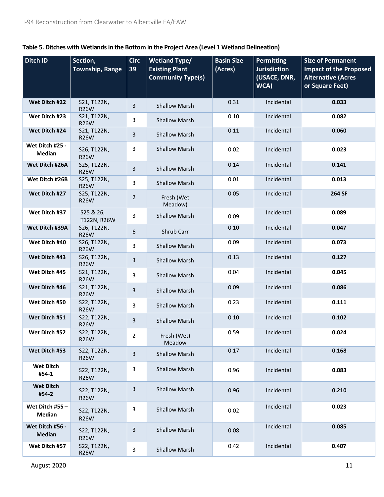| Table 5. Ditches with Wetlands in the Bottom in the Project Area (Level 1 Wetland Delineation) |  |
|------------------------------------------------------------------------------------------------|--|
|------------------------------------------------------------------------------------------------|--|

| Ditch ID                         | Section,<br><b>Township, Range</b> | <b>Circ</b><br>39 | <b>Wetland Type/</b><br><b>Existing Plant</b><br><b>Community Type(s)</b> | <b>Basin Size</b><br>(Acres) | <b>Permitting</b><br><b>Jurisdiction</b><br>(USACE, DNR,<br>WCA) | <b>Size of Permanent</b><br><b>Impact of the Proposed</b><br><b>Alternative (Acres</b><br>or Square Feet) |
|----------------------------------|------------------------------------|-------------------|---------------------------------------------------------------------------|------------------------------|------------------------------------------------------------------|-----------------------------------------------------------------------------------------------------------|
| Wet Ditch #22                    | S21, T122N,<br><b>R26W</b>         | 3                 | <b>Shallow Marsh</b>                                                      | 0.31                         | Incidental                                                       | 0.033                                                                                                     |
| Wet Ditch #23                    | S21, T122N,<br><b>R26W</b>         | 3                 | <b>Shallow Marsh</b>                                                      | 0.10                         | Incidental                                                       | 0.082                                                                                                     |
| Wet Ditch #24                    | S21, T122N,<br><b>R26W</b>         | 3                 | <b>Shallow Marsh</b>                                                      | 0.11                         | Incidental                                                       | 0.060                                                                                                     |
| Wet Ditch #25 -<br><b>Median</b> | S26, T122N,<br><b>R26W</b>         | 3                 | <b>Shallow Marsh</b>                                                      | 0.02                         | Incidental                                                       | 0.023                                                                                                     |
| Wet Ditch #26A                   | S25, T122N,<br><b>R26W</b>         | $\mathbf{3}$      | <b>Shallow Marsh</b>                                                      | 0.14                         | Incidental                                                       | 0.141                                                                                                     |
| Wet Ditch #26B                   | S25, T122N,<br><b>R26W</b>         | 3                 | <b>Shallow Marsh</b>                                                      | 0.01                         | Incidental                                                       | 0.013                                                                                                     |
| Wet Ditch #27                    | S25, T122N,<br><b>R26W</b>         | $\overline{2}$    | Fresh (Wet<br>Meadow)                                                     | 0.05                         | Incidental                                                       | 264 SF                                                                                                    |
| Wet Ditch #37                    | S25 & 26,<br>T122N, R26W           | 3                 | <b>Shallow Marsh</b>                                                      | 0.09                         | Incidental                                                       | 0.089                                                                                                     |
| Wet Ditch #39A                   | S26, T122N,<br><b>R26W</b>         | 6                 | Shrub Carr                                                                | 0.10                         | Incidental                                                       | 0.047                                                                                                     |
| Wet Ditch #40                    | S26, T122N,<br><b>R26W</b>         | 3                 | <b>Shallow Marsh</b>                                                      | 0.09                         | Incidental                                                       | 0.073                                                                                                     |
| Wet Ditch #43                    | S26, T122N,<br><b>R26W</b>         | 3                 | <b>Shallow Marsh</b>                                                      | 0.13                         | Incidental                                                       | 0.127                                                                                                     |
| Wet Ditch #45                    | S21, T122N,<br><b>R26W</b>         | 3                 | <b>Shallow Marsh</b>                                                      | 0.04                         | Incidental                                                       | 0.045                                                                                                     |
| Wet Ditch #46                    | S21, T122N,<br><b>R26W</b>         | 3                 | <b>Shallow Marsh</b>                                                      | 0.09                         | Incidental                                                       | 0.086                                                                                                     |
| Wet Ditch #50                    | S22, T122N,<br><b>R26W</b>         | 3                 | <b>Shallow Marsh</b>                                                      | 0.23                         | Incidental                                                       | 0.111                                                                                                     |
| Wet Ditch #51                    | S22, T122N,<br><b>R26W</b>         | 3                 | <b>Shallow Marsh</b>                                                      | 0.10                         | Incidental                                                       | 0.102                                                                                                     |
| Wet Ditch #52                    | S22, T122N,<br><b>R26W</b>         | 2                 | Fresh (Wet)<br>Meadow                                                     | 0.59                         | Incidental                                                       | 0.024                                                                                                     |
| Wet Ditch #53                    | S22, T122N,<br><b>R26W</b>         | 3                 | <b>Shallow Marsh</b>                                                      | 0.17                         | Incidental                                                       | 0.168                                                                                                     |
| <b>Wet Ditch</b><br>#54-1        | S22, T122N,<br><b>R26W</b>         | 3                 | <b>Shallow Marsh</b>                                                      | 0.96                         | Incidental                                                       | 0.083                                                                                                     |
| <b>Wet Ditch</b><br>#54-2        | S22, T122N,<br><b>R26W</b>         | 3                 | <b>Shallow Marsh</b>                                                      | 0.96                         | Incidental                                                       | 0.210                                                                                                     |
| Wet Ditch #55 -<br><b>Median</b> | S22, T122N,<br><b>R26W</b>         | 3                 | <b>Shallow Marsh</b>                                                      | 0.02                         | Incidental                                                       | 0.023                                                                                                     |
| Wet Ditch #56 -<br><b>Median</b> | S22, T122N,<br><b>R26W</b>         | 3                 | <b>Shallow Marsh</b>                                                      | 0.08                         | Incidental                                                       | 0.085                                                                                                     |
| Wet Ditch #57                    | S22, T122N,<br><b>R26W</b>         | 3                 | <b>Shallow Marsh</b>                                                      | 0.42                         | Incidental                                                       | 0.407                                                                                                     |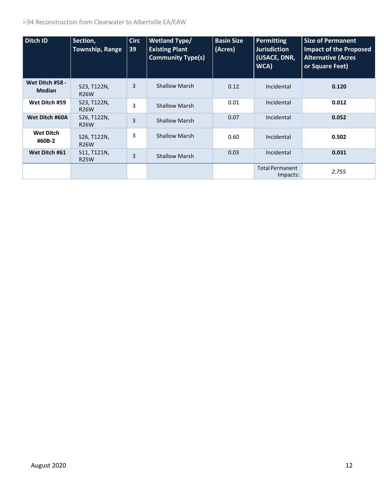I-94 Reconstruction from Clearwater to Albertville EA/EAW

| Ditch ID                         | Section,<br><b>Township, Range</b> | <b>Circ</b><br>39 | <b>Wetland Type/</b><br><b>Existing Plant</b><br><b>Community Type(s)</b> | <b>Basin Size</b><br>(Acres) | <b>Permitting</b><br><b>Jurisdiction</b><br>(USACE, DNR,<br>WCA) | <b>Size of Permanent</b><br><b>Impact of the Proposed</b><br><b>Alternative (Acres</b><br>or Square Feet) |
|----------------------------------|------------------------------------|-------------------|---------------------------------------------------------------------------|------------------------------|------------------------------------------------------------------|-----------------------------------------------------------------------------------------------------------|
| Wet Ditch #58 -<br><b>Median</b> | S23, T122N,<br><b>R26W</b>         | 3                 | <b>Shallow Marsh</b>                                                      | 0.12                         | Incidental                                                       | 0.120                                                                                                     |
| Wet Ditch #59                    | S23, T122N,<br><b>R26W</b>         | 3                 | <b>Shallow Marsh</b>                                                      | 0.01                         | Incidental                                                       | 0.012                                                                                                     |
| Wet Ditch #60A                   | S26, T122N,<br><b>R26W</b>         | 3                 | <b>Shallow Marsh</b>                                                      | 0.07                         | Incidental                                                       | 0.052                                                                                                     |
| <b>Wet Ditch</b><br>#60B-2       | S26, T122N,<br><b>R26W</b>         | 3                 | <b>Shallow Marsh</b>                                                      | 0.60                         | Incidental                                                       | 0.502                                                                                                     |
| Wet Ditch #61                    | S11, T121N,<br><b>R25W</b>         | 3                 | <b>Shallow Marsh</b>                                                      | 0.03                         | Incidental                                                       | 0.031                                                                                                     |
|                                  |                                    |                   |                                                                           |                              | <b>Total Permanent</b><br>Impacts:                               | 2.755                                                                                                     |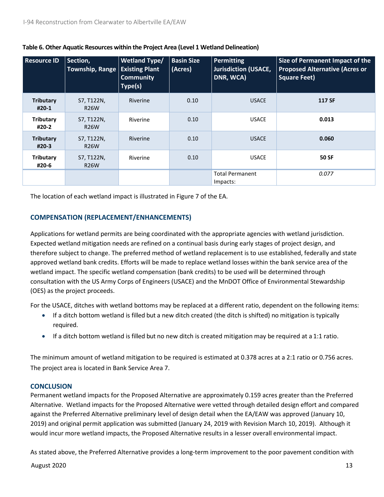| <b>Resource ID</b>        | Section,<br><b>Township, Range</b> | <b>Wetland Type/</b><br><b>Existing Plant</b><br><b>Community</b><br>Type(s) | <b>Basin Size</b><br>(Acres) | <b>Permitting</b><br><b>Jurisdiction (USACE,</b><br>DNR, WCA) | Size of Permanent Impact of the<br><b>Proposed Alternative (Acres or</b><br><b>Square Feet)</b> |
|---------------------------|------------------------------------|------------------------------------------------------------------------------|------------------------------|---------------------------------------------------------------|-------------------------------------------------------------------------------------------------|
| <b>Tributary</b><br>#20-1 | S7, T122N,<br><b>R26W</b>          | <b>Riverine</b>                                                              | 0.10                         | <b>USACE</b>                                                  | <b>117 SF</b>                                                                                   |
| <b>Tributary</b><br>#20-2 | S7, T122N,<br><b>R26W</b>          | Riverine                                                                     | 0.10                         | <b>USACE</b>                                                  | 0.013                                                                                           |
| <b>Tributary</b><br>#20-3 | S7, T122N,<br><b>R26W</b>          | Riverine                                                                     | 0.10                         | <b>USACE</b>                                                  | 0.060                                                                                           |
| Tributary<br>#20-6        | S7, T122N,<br><b>R26W</b>          | Riverine                                                                     | 0.10                         | <b>USACE</b>                                                  | <b>50 SF</b>                                                                                    |
|                           |                                    |                                                                              |                              | <b>Total Permanent</b><br>Impacts:                            | 0.077                                                                                           |

# **Table 6. Other Aquatic Resources within the Project Area (Level 1 Wetland Delineation)**

The location of each wetland impact is illustrated in Figure 7 of the EA.

# **COMPENSATION (REPLACEMENT/ENHANCEMENTS)**

Applications for wetland permits are being coordinated with the appropriate agencies with wetland jurisdiction. Expected wetland mitigation needs are refined on a continual basis during early stages of project design, and therefore subject to change. The preferred method of wetland replacement is to use established, federally and state approved wetland bank credits. Efforts will be made to replace wetland losses within the bank service area of the wetland impact. The specific wetland compensation (bank credits) to be used will be determined through consultation with the US Army Corps of Engineers (USACE) and the MnDOT Office of Environmental Stewardship (OES) as the project proceeds.

For the USACE, ditches with wetland bottoms may be replaced at a different ratio, dependent on the following items:

- If a ditch bottom wetland is filled but a new ditch created (the ditch is shifted) no mitigation is typically required.
- If a ditch bottom wetland is filled but no new ditch is created mitigation may be required at a 1:1 ratio.

The minimum amount of wetland mitigation to be required is estimated at 0.378 acres at a 2:1 ratio or 0.756 acres. The project area is located in Bank Service Area 7.

# **CONCLUSION**

Permanent wetland impacts for the Proposed Alternative are approximately 0.159 acres greater than the Preferred Alternative. Wetland impacts for the Proposed Alternative were vetted through detailed design effort and compared against the Preferred Alternative preliminary level of design detail when the EA/EAW was approved (January 10, 2019) and original permit application was submitted (January 24, 2019 with Revision March 10, 2019). Although it would incur more wetland impacts, the Proposed Alternative results in a lesser overall environmental impact.

As stated above, the Preferred Alternative provides a long-term improvement to the poor pavement condition with